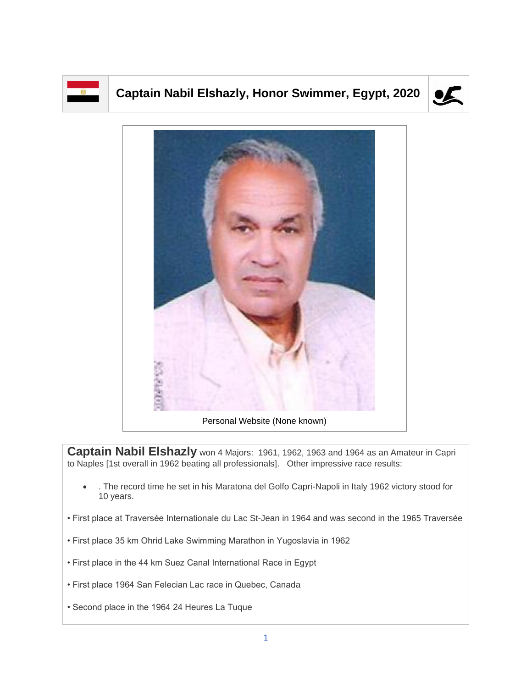

## **Captain Nabil Elshazly, Honor Swimmer, Egypt, 2020**





Personal Website (None known)

**Captain Nabil Elshazly** won 4 Majors: 1961, 1962, 1963 and 1964 as an Amateur in Capri to Naples [1st overall in 1962 beating all professionals]. Other impressive race results:

- . The record time he set in his Maratona del Golfo Capri-Napoli in Italy 1962 victory stood for 10 years.
- First place at Traversée Internationale du Lac St-Jean in 1964 and was second in the 1965 Traversée
- First place 35 km Ohrid Lake Swimming Marathon in Yugoslavia in 1962
- First place in the 44 km Suez Canal International Race in Egypt
- First place 1964 San Felecian Lac race in Quebec, Canada
- Second place in the 1964 24 Heures La Tuque